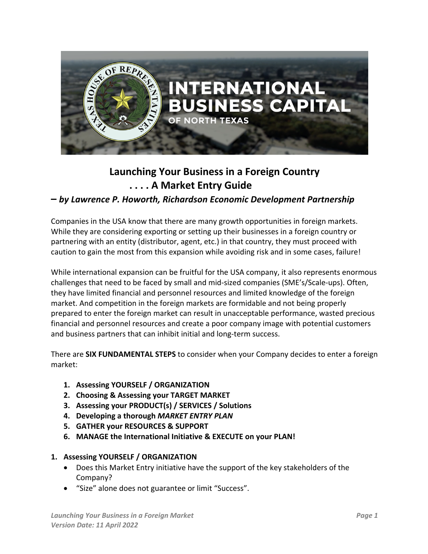

# **Launching Your Business in a Foreign Country . . . . A Market Entry Guide**

# **–** *by Lawrence P. Howorth, Richardson Economic Development Partnership*

Companies in the USA know that there are many growth opportunities in foreign markets. While they are considering exporting or setting up their businesses in a foreign country or partnering with an entity (distributor, agent, etc.) in that country, they must proceed with caution to gain the most from this expansion while avoiding risk and in some cases, failure!

While international expansion can be fruitful for the USA company, it also represents enormous challenges that need to be faced by small and mid-sized companies (SME's/Scale-ups). Often, they have limited financial and personnel resources and limited knowledge of the foreign market. And competition in the foreign markets are formidable and not being properly prepared to enter the foreign market can result in unacceptable performance, wasted precious financial and personnel resources and create a poor company image with potential customers and business partners that can inhibit initial and long-term success.

There are **SIX FUNDAMENTAL STEPS** to consider when your Company decides to enter a foreign market:

- **1. Assessing YOURSELF / ORGANIZATION**
- **2. Choosing & Assessing your TARGET MARKET**
- **3. Assessing your PRODUCT(s) / SERVICES / Solutions**
- **4. Developing a thorough** *MARKET ENTRY PLAN*
- **5. GATHER your RESOURCES & SUPPORT**
- **6. MANAGE the International Initiative & EXECUTE on your PLAN!**
- **1. Assessing YOURSELF / ORGANIZATION**
	- Does this Market Entry initiative have the support of the key stakeholders of the Company?
	- "Size" alone does not guarantee or limit "Success".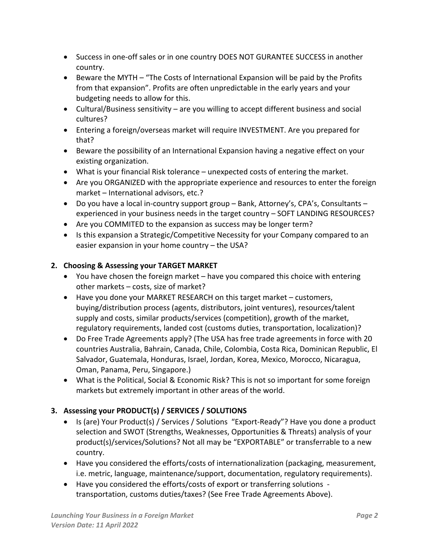- Success in one-off sales or in one country DOES NOT GURANTEE SUCCESS in another country.
- Beware the MYTH "The Costs of International Expansion will be paid by the Profits from that expansion". Profits are often unpredictable in the early years and your budgeting needs to allow for this.
- Cultural/Business sensitivity are you willing to accept different business and social cultures?
- Entering a foreign/overseas market will require INVESTMENT. Are you prepared for that?
- Beware the possibility of an International Expansion having a negative effect on your existing organization.
- What is your financial Risk tolerance unexpected costs of entering the market.
- Are you ORGANIZED with the appropriate experience and resources to enter the foreign market – International advisors, etc.?
- Do you have a local in-country support group Bank, Attorney's, CPA's, Consultants experienced in your business needs in the target country – SOFT LANDING RESOURCES?
- Are you COMMITED to the expansion as success may be longer term?
- Is this expansion a Strategic/Competitive Necessity for your Company compared to an easier expansion in your home country – the USA?

## **2. Choosing & Assessing your TARGET MARKET**

- You have chosen the foreign market have you compared this choice with entering other markets – costs, size of market?
- Have you done your MARKET RESEARCH on this target market customers, buying/distribution process (agents, distributors, joint ventures), resources/talent supply and costs, similar products/services (competition), growth of the market, regulatory requirements, landed cost (customs duties, transportation, localization)?
- Do Free Trade Agreements apply? (The USA has free trade agreements in force with 20 countries Australia, Bahrain, Canada, Chile, Colombia, Costa Rica, Dominican Republic, El Salvador, Guatemala, Honduras, Israel, Jordan, Korea, Mexico, Morocco, Nicaragua, Oman, Panama, Peru, Singapore.)
- What is the Political, Social & Economic Risk? This is not so important for some foreign markets but extremely important in other areas of the world.

## **3. Assessing your PRODUCT(s) / SERVICES / SOLUTIONS**

- Is (are) Your Product(s) / Services / Solutions "Export-Ready"? Have you done a product selection and SWOT (Strengths, Weaknesses, Opportunities & Threats) analysis of your product(s)/services/Solutions? Not all may be "EXPORTABLE" or transferrable to a new country.
- Have you considered the efforts/costs of internationalization (packaging, measurement, i.e. metric, language, maintenance/support, documentation, regulatory requirements).
- Have you considered the efforts/costs of export or transferring solutions transportation, customs duties/taxes? (See Free Trade Agreements Above).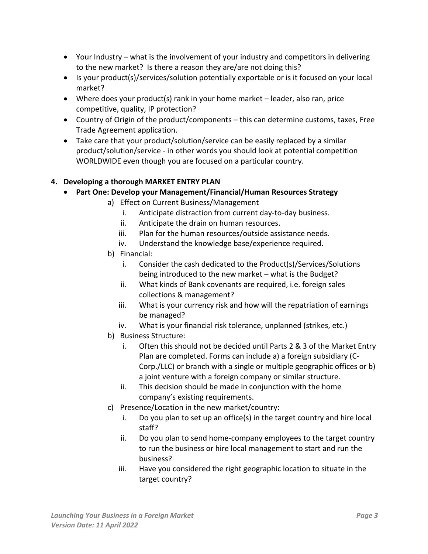- Your Industry what is the involvement of your industry and competitors in delivering to the new market? Is there a reason they are/are not doing this?
- Is your product(s)/services/solution potentially exportable or is it focused on your local market?
- Where does your product(s) rank in your home market leader, also ran, price competitive, quality, IP protection?
- Country of Origin of the product/components this can determine customs, taxes, Free Trade Agreement application.
- Take care that your product/solution/service can be easily replaced by a similar product/solution/service - in other words you should look at potential competition WORLDWIDE even though you are focused on a particular country.

#### **4. Developing a thorough MARKET ENTRY PLAN**

- **Part One: Develop your Management/Financial/Human Resources Strategy**
	- a) Effect on Current Business/Management
		- i. Anticipate distraction from current day-to-day business.
		- ii. Anticipate the drain on human resources.
		- iii. Plan for the human resources/outside assistance needs.
		- iv. Understand the knowledge base/experience required.
	- b) Financial:
		- i. Consider the cash dedicated to the Product(s)/Services/Solutions being introduced to the new market – what is the Budget?
		- ii. What kinds of Bank covenants are required, i.e. foreign sales collections & management?
		- iii. What is your currency risk and how will the repatriation of earnings be managed?
		- iv. What is your financial risk tolerance, unplanned (strikes, etc.)
	- b) Business Structure:
		- i. Often this should not be decided until Parts 2 & 3 of the Market Entry Plan are completed. Forms can include a) a foreign subsidiary (C-Corp./LLC) or branch with a single or multiple geographic offices or b) a joint venture with a foreign company or similar structure.
		- ii. This decision should be made in conjunction with the home company's existing requirements.
	- c) Presence/Location in the new market/country:
		- i. Do you plan to set up an office(s) in the target country and hire local staff?
		- ii. Do you plan to send home-company employees to the target country to run the business or hire local management to start and run the business?
		- iii. Have you considered the right geographic location to situate in the target country?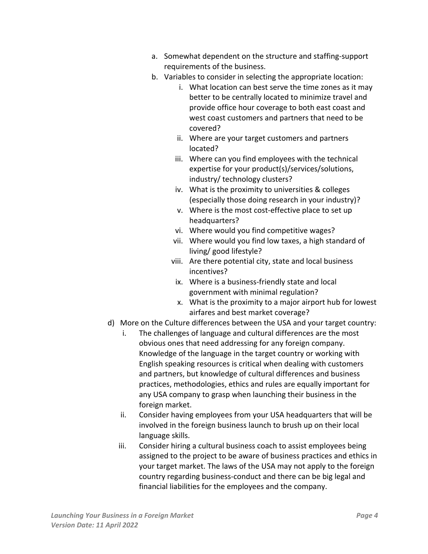- a. Somewhat dependent on the structure and staffing-support requirements of the business.
- b. Variables to consider in selecting the appropriate location:
	- i. What location can best serve the time zones as it may better to be centrally located to minimize travel and provide office hour coverage to both east coast and west coast customers and partners that need to be covered?
	- ii. Where are your target customers and partners located?
	- iii. Where can you find employees with the technical expertise for your product(s)/services/solutions, industry/ technology clusters?
	- iv. What is the proximity to universities & colleges (especially those doing research in your industry)?
	- v. Where is the most cost-effective place to set up headquarters?
	- vi. Where would you find competitive wages?
	- vii. Where would you find low taxes, a high standard of living/ good lifestyle?
	- viii. Are there potential city, state and local business incentives?
	- ix. Where is a business-friendly state and local government with minimal regulation?
	- x. What is the proximity to a major airport hub for lowest airfares and best market coverage?
- d) More on the Culture differences between the USA and your target country:
	- i. The challenges of language and cultural differences are the most obvious ones that need addressing for any foreign company. Knowledge of the language in the target country or working with English speaking resources is critical when dealing with customers and partners, but knowledge of cultural differences and business practices, methodologies, ethics and rules are equally important for any USA company to grasp when launching their business in the foreign market.
	- ii. Consider having employees from your USA headquarters that will be involved in the foreign business launch to brush up on their local language skills.
	- iii. Consider hiring a cultural business coach to assist employees being assigned to the project to be aware of business practices and ethics in your target market. The laws of the USA may not apply to the foreign country regarding business-conduct and there can be big legal and financial liabilities for the employees and the company.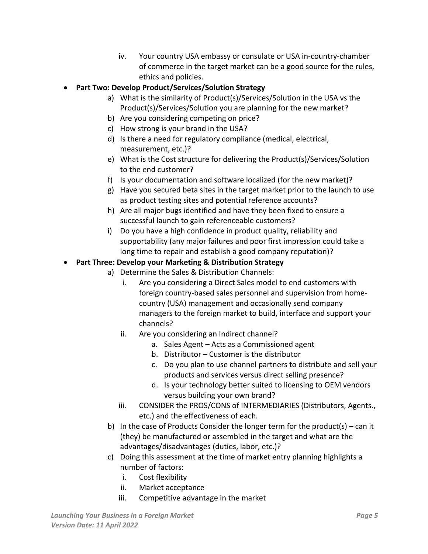- iv. Your country USA embassy or consulate or USA in-country-chamber of commerce in the target market can be a good source for the rules, ethics and policies.
- **Part Two: Develop Product/Services/Solution Strategy**
	- a) What is the similarity of Product(s)/Services/Solution in the USA vs the Product(s)/Services/Solution you are planning for the new market?
	- b) Are you considering competing on price?
	- c) How strong is your brand in the USA?
	- d) Is there a need for regulatory compliance (medical, electrical, measurement, etc.)?
	- e) What is the Cost structure for delivering the Product(s)/Services/Solution to the end customer?
	- f) Is your documentation and software localized (for the new market)?
	- g) Have you secured beta sites in the target market prior to the launch to use as product testing sites and potential reference accounts?
	- h) Are all major bugs identified and have they been fixed to ensure a successful launch to gain referenceable customers?
	- i) Do you have a high confidence in product quality, reliability and supportability (any major failures and poor first impression could take a long time to repair and establish a good company reputation)?

## • **Part Three: Develop your Marketing & Distribution Strategy**

- a) Determine the Sales & Distribution Channels:
	- i. Are you considering a Direct Sales model to end customers with foreign country-based sales personnel and supervision from homecountry (USA) management and occasionally send company managers to the foreign market to build, interface and support your channels?
	- ii. Are you considering an Indirect channel?
		- a. Sales Agent Acts as a Commissioned agent
		- b. Distributor Customer is the distributor
		- c. Do you plan to use channel partners to distribute and sell your products and services versus direct selling presence?
		- d. Is your technology better suited to licensing to OEM vendors versus building your own brand?
	- iii. CONSIDER the PROS/CONS of INTERMEDIARIES (Distributors, Agents., etc.) and the effectiveness of each.
- b) In the case of Products Consider the longer term for the product(s) can it (they) be manufactured or assembled in the target and what are the advantages/disadvantages (duties, labor, etc.)?
- c) Doing this assessment at the time of market entry planning highlights a number of factors:
	- i. Cost flexibility
	- ii. Market acceptance
	- iii. Competitive advantage in the market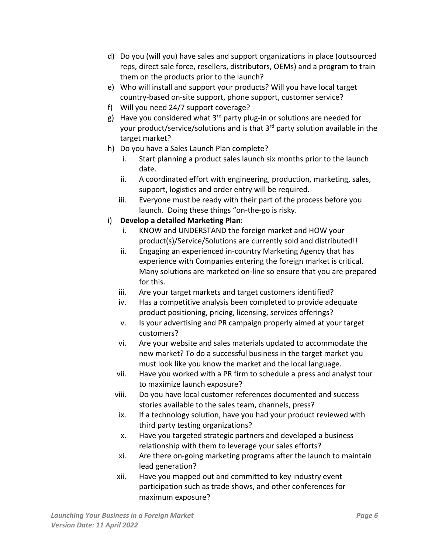- d) Do you (will you) have sales and support organizations in place (outsourced reps, direct sale force, resellers, distributors, OEMs) and a program to train them on the products prior to the launch?
- e) Who will install and support your products? Will you have local target country-based on-site support, phone support, customer service?
- f) Will you need 24/7 support coverage?
- g) Have you considered what 3<sup>rd</sup> party plug-in or solutions are needed for your product/service/solutions and is that 3<sup>rd</sup> party solution available in the target market?
- h) Do you have a Sales Launch Plan complete?
	- i. Start planning a product sales launch six months prior to the launch date.
	- ii. A coordinated effort with engineering, production, marketing, sales, support, logistics and order entry will be required.
	- iii. Everyone must be ready with their part of the process before you launch. Doing these things "on-the-go is risky.
- i) **Develop a detailed Marketing Plan**:
	- i. KNOW and UNDERSTAND the foreign market and HOW your product(s)/Service/Solutions are currently sold and distributed!!
	- ii. Engaging an experienced in-country Marketing Agency that has experience with Companies entering the foreign market is critical. Many solutions are marketed on-line so ensure that you are prepared for this.
	- iii. Are your target markets and target customers identified?
	- iv. Has a competitive analysis been completed to provide adequate product positioning, pricing, licensing, services offerings?
	- v. Is your advertising and PR campaign properly aimed at your target customers?
	- vi. Are your website and sales materials updated to accommodate the new market? To do a successful business in the target market you must look like you know the market and the local language.
	- vii. Have you worked with a PR firm to schedule a press and analyst tour to maximize launch exposure?
	- viii. Do you have local customer references documented and success stories available to the sales team, channels, press?
	- ix. If a technology solution, have you had your product reviewed with third party testing organizations?
	- x. Have you targeted strategic partners and developed a business relationship with them to leverage your sales efforts?
	- xi. Are there on-going marketing programs after the launch to maintain lead generation?
	- xii. Have you mapped out and committed to key industry event participation such as trade shows, and other conferences for maximum exposure?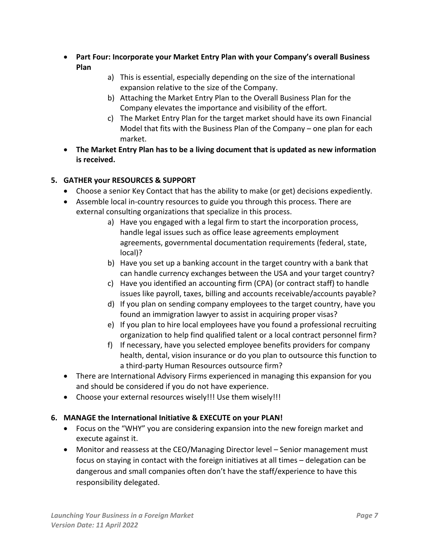- **Part Four: Incorporate your Market Entry Plan with your Company's overall Business Plan**
	- a) This is essential, especially depending on the size of the international expansion relative to the size of the Company.
	- b) Attaching the Market Entry Plan to the Overall Business Plan for the Company elevates the importance and visibility of the effort.
	- c) The Market Entry Plan for the target market should have its own Financial Model that fits with the Business Plan of the Company – one plan for each market.
- **The Market Entry Plan has to be a living document that is updated as new information is received.**

## **5. GATHER your RESOURCES & SUPPORT**

- Choose a senior Key Contact that has the ability to make (or get) decisions expediently.
- Assemble local in-country resources to guide you through this process. There are external consulting organizations that specialize in this process.
	- a) Have you engaged with a legal firm to start the incorporation process, handle legal issues such as office lease agreements employment agreements, governmental documentation requirements (federal, state, local)?
	- b) Have you set up a banking account in the target country with a bank that can handle currency exchanges between the USA and your target country?
	- c) Have you identified an accounting firm (CPA) (or contract staff) to handle issues like payroll, taxes, billing and accounts receivable/accounts payable?
	- d) If you plan on sending company employees to the target country, have you found an immigration lawyer to assist in acquiring proper visas?
	- e) If you plan to hire local employees have you found a professional recruiting organization to help find qualified talent or a local contract personnel firm?
	- f) If necessary, have you selected employee benefits providers for company health, dental, vision insurance or do you plan to outsource this function to a third-party Human Resources outsource firm?
- There are International Advisory Firms experienced in managing this expansion for you and should be considered if you do not have experience.
- Choose your external resources wisely!!! Use them wisely!!!

#### **6. MANAGE the International Initiative & EXECUTE on your PLAN!**

- Focus on the "WHY" you are considering expansion into the new foreign market and execute against it.
- Monitor and reassess at the CEO/Managing Director level Senior management must focus on staying in contact with the foreign initiatives at all times – delegation can be dangerous and small companies often don't have the staff/experience to have this responsibility delegated.